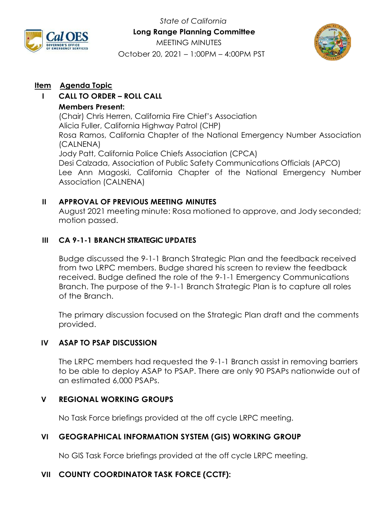

*State of California* **Long Range Planning Committee** MEETING MINUTES October 20, 2021 – 1:00PM – 4:00PM PST



#### **Item Agenda Topic**

#### **I CALL TO ORDER – ROLL CALL Members Present:**

(Chair) Chris Herren, California Fire Chief's Association Alicia Fuller, California Highway Patrol (CHP) Rosa Ramos, California Chapter of the National Emergency Number Association (CALNENA) Jody Patt, California Police Chiefs Association (CPCA) Desi Calzada, Association of Public Safety Communications Officials (APCO) Lee Ann Magoski, California Chapter of the National Emergency Number Association (CALNENA)

# **II APPROVAL OF PREVIOUS MEETING MINUTES**

August 2021 meeting minute: Rosa motioned to approve, and Jody seconded; motion passed.

# **III CA 9-1-1 BRANCH STRATEGIC UPDATES**

Budge discussed the 9-1-1 Branch Strategic Plan and the feedback received from two LRPC members. Budge shared his screen to review the feedback received. Budge defined the role of the 9-1-1 Emergency Communications Branch. The purpose of the 9-1-1 Branch Strategic Plan is to capture all roles of the Branch.

The primary discussion focused on the Strategic Plan draft and the comments provided.

# **IV ASAP TO PSAP DISCUSSION**

The LRPC members had requested the 9-1-1 Branch assist in removing barriers to be able to deploy ASAP to PSAP. There are only 90 PSAPs nationwide out of an estimated 6,000 PSAPs.

# **V REGIONAL WORKING GROUPS**

No Task Force briefings provided at the off cycle LRPC meeting.

# **VI GEOGRAPHICAL INFORMATION SYSTEM (GIS) WORKING GROUP**

No GIS Task Force briefings provided at the off cycle LRPC meeting.

# **VII COUNTY COORDINATOR TASK FORCE (CCTF):**